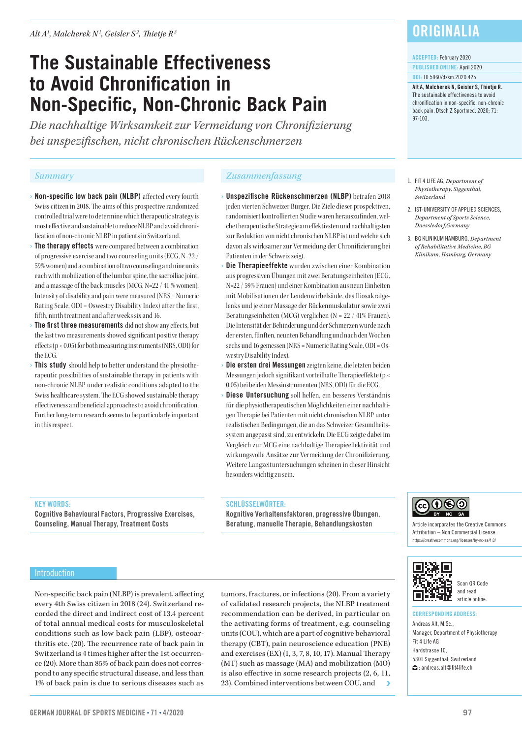# **The Sustainable Effectiveness to Avoid Chronification in Non-Specific, Non-Chronic Back Pain**

*Die nachhaltige Wirksamkeit zur Vermeidung von Chronifizierung bei unspezifischen, nicht chronischen Rückenschmerzen*

- **Non-specific low back pain (NLBP)** affected every fourth Swiss citizen in 2018. The aims of this prospective randomized controlled trial were to determine which therapeutic strategy is most effective and sustainable to reduce NLBP and avoid chronification of non-chronic NLBP in patients in Switzerland.
- › The therapy effects were compared between a combination of progressive exercise and two counseling units (ECG, N=22 / 59% women) and a combination of two counseling and nine units each with mobilization of the lumbar spine, the sacroiliac joint, and a massage of the back muscles (MCG, N=22 / 41 % women). Intensity of disability and pain were measured (NRS = Numeric Rating Scale, ODI = Oswestry Disability Index) after the first, fifth, ninth treatment and after weeks six and 16.
- › The first three measurements did not show any effects, but the last two measurements showed significant positive therapy effects (p < 0.05) for both measuring instruments (NRS, ODI) for the ECG.
- This study should help to better understand the physiotherapeutic possibilities of sustainable therapy in patients with non-chronic NLBP under realistic conditions adapted to the Swiss healthcare system. The ECG showed sustainable therapy effectiveness and beneficial approaches to avoid chronification. Further long-term research seems to be particularly important in this respect.

# *Summary Zusammenfassung*

- › Unspezifische Rückenschmerzen (NLBP) betrafen 2018 jeden vierten Schweizer Bürger. Die Ziele dieser prospektiven, randomisiert kontrollierten Studie waren herauszufinden, welche therapeutische Strategie am effektivsten und nachhaltigsten zur Reduktion von nicht chronischen NLBP ist und welche sich davon als wirksamer zur Vermeidung der Chronifizierung bei Patienten in der Schweiz zeigt.
- Die Therapieeffekte wurden zwischen einer Kombination aus progressiven Übungen mit zwei Beratungseinheiten (ECG, N=22 / 59% Frauen) und einer Kombination aus neun Einheiten mit Mobilisationen der Lendenwirbelsäule, des Iliosakralgelenks und je einer Massage der Rückenmuskulatur sowie zwei Beratungseinheiten (MCG) verglichen (N = 22 / 41% Frauen). Die Intensität der Behinderung und der Schmerzen wurde nach der ersten, fünften, neunten Behandlung und nach den Wochen sechs und 16 gemessen (NRS = Numeric Rating Scale, ODI = Oswestry Disability Index).
- Die ersten drei Messungen zeigten keine, die letzten beiden Messungen jedoch signifikant vorteilhafte Therapieeffekte (p < 0,05) bei beiden Messinstrumenten (NRS, ODI) für die ECG.
- › Diese Untersuchung soll helfen, ein besseres Verständnis für die physiotherapeutischen Möglichkeiten einer nachhaltigen Therapie bei Patienten mit nicht chronischen NLBP unter realistischen Bedingungen, die an das Schweizer Gesundheitssystem angepasst sind, zu entwickeln. Die ECG zeigte dabei im Vergleich zur MCG eine nachhaltige Therapieeffektivität und wirkungsvolle Ansätze zur Vermeidung der Chronifizierung. Weitere Langzeituntersuchungen scheinen in dieser Hinsicht besonders wichtig zu sein.

### KEY WORDS:

Cognitive Behavioural Factors, Progressive Exercises, Counseling, Manual Therapy, Treatment Costs

#### SCHLÜSSELWÖRTER:

Kognitive Verhaltensfaktoren, progressive Übungen, Beratung, manuelle Therapie, Behandlungskosten

### Introduction

Non-specific back pain (NLBP) is prevalent, affecting every 4th Swiss citizen in 2018 (24). Switzerland recorded the direct and indirect cost of 13.4 percent of total annual medical costs for musculoskeletal conditions such as low back pain (LBP), osteoarthritis etc. (20). The recurrence rate of back pain in Switzerland is 4 times higher after the 1st occurrence (20). More than 85% of back pain does not correspond to any specific structural disease, and less than 1% of back pain is due to serious diseases such as

tumors, fractures, or infections (20). From a variety of validated research projects, the NLBP treatment recommendation can be derived, in particular on the activating forms of treatment, e.g. counseling units (COU), which are a part of cognitive behavioral therapy (CBT), pain neuroscience education (PNE) and exercises (EX) (1, 3, 7, 8, 10, 17). Manual Therapy (MT) such as massage (MA) and mobilization (MO) is also effective in some research projects (2, 6, 11, 23). Combined interventions between COU, and

# **ORIGINALIA**

#### ACCEPTED: February 2020

PUBLISHED ONLINE: April 2020 DOI: 10.5960/dzsm.2020.425

Alt A, Malcherek N, Geisler S, Thietje R. The sustainable effectiveness to avoid chronification in non-specific, non-chronic back pain. Dtsch Z Sportmed. 2020; 71: 97-103.

- 1. FIT 4 LIFE AG, *Department of Physiotherapy, Siggenthal, Switzerland*
- 2. IST-UNIVERSITY OF APPLIED SCIENCES, *Department of Sports Science, Duessledorf,Germany*
- 3. BG KLINIKUM HAMBURG, *Department of Rehabilitative Medicine, BG Klinikum, Hamburg, Germany*



Article incorporates the Creative Commons Attribution – Non Commercial License. https://creativecommons.org/licenses/by-nc-sa/4.0/



### Scan QR Code and read article online.

### CORRESPONDING ADDRESS:

Andreas Alt, M.Sc., Manager, Department of Physiotherapy Fit 4 Life AG Hardstrasse 10, 5301 Siggenthal, Switzerland  $\bigoplus$ : andreas.alt@fit4life.ch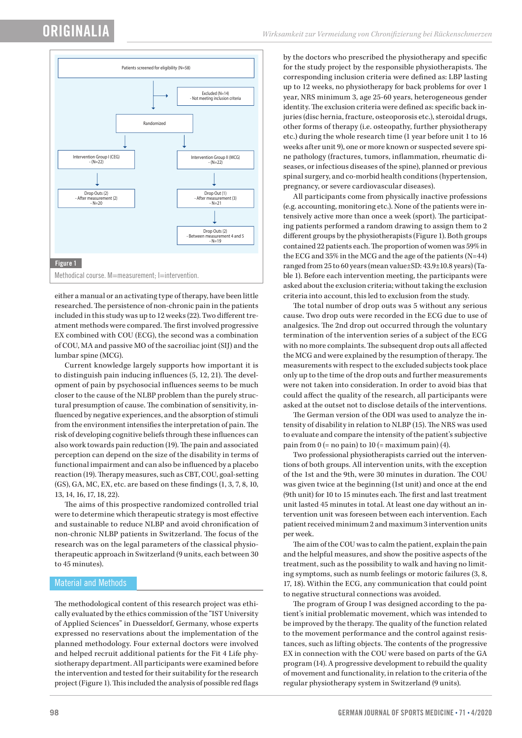

either a manual or an activating type of therapy, have been little researched. The persistence of non-chronic pain in the patients included in this study was up to 12 weeks (22). Two different treatment methods were compared. The first involved progressive EX combined with COU (ECG), the second was a combination of COU, MA and passive MO of the sacroiliac joint (SIJ) and the lumbar spine (MCG).

Current knowledge largely supports how important it is to distinguish pain inducing influences (5, 12, 21). The development of pain by psychosocial influences seems to be much closer to the cause of the NLBP problem than the purely structural presumption of cause. The combination of sensitivity, influenced by negative experiences, and the absorption of stimuli from the environment intensifies the interpretation of pain. The risk of developing cognitive beliefs through these influences can also work towards pain reduction (19). The pain and associated perception can depend on the size of the disability in terms of functional impairment and can also be influenced by a placebo reaction (19). Therapy measures, such as CBT, COU, goal-setting (GS), GA, MC, EX, etc. are based on these findings (1, 3, 7, 8, 10, 13, 14, 16, 17, 18, 22).

The aims of this prospective randomized controlled trial were to determine which therapeutic strategy is most effective and sustainable to reduce NLBP and avoid chronification of non-chronic NLBP patients in Switzerland. The focus of the research was on the legal parameters of the classical physiotherapeutic approach in Switzerland (9 units, each between 30 to 45 minutes).

# Material and Methods

The methodological content of this research project was ethically evaluated by the ethics commission of the "IST University of Applied Sciences" in Duesseldorf, Germany, whose experts expressed no reservations about the implementation of the planned methodology. Four external doctors were involved and helped recruit additional patients for the Fit 4 Life physiotherapy department. All participants were examined before the intervention and tested for their suitability for the research project (Figure 1). This included the analysis of possible red flags

by the doctors who prescribed the physiotherapy and specific for the study project by the responsible physiotherapists. The corresponding inclusion criteria were defined as: LBP lasting up to 12 weeks, no physiotherapy for back problems for over 1 year, NRS minimum 3, age 25-60 years, heterogeneous gender identity. The exclusion criteria were defined as: specific back injuries (disc hernia, fracture, osteoporosis etc.), steroidal drugs, other forms of therapy (i.e. osteopathy, further physiotherapy etc.) during the whole research time (1 year before unit 1 to 16 weeks after unit 9), one or more known or suspected severe spine pathology (fractures, tumors, inflammation, rheumatic diseases, or infectious diseases of the spine), planned or previous spinal surgery, and co-morbid health conditions (hypertension, pregnancy, or severe cardiovascular diseases).

All participants come from physically inactive professions (e.g. accounting, monitoring etc.). None of the patients were intensively active more than once a week (sport). The participating patients performed a random drawing to assign them to 2 different groups by the physiotherapists (Figure 1). Both groups contained 22 patients each. The proportion of women was 59% in the ECG and 35% in the MCG and the age of the patients (N=44) ranged from 25 to 60 years (mean value±SD: 43.9±10.8 years) (Table 1). Before each intervention meeting, the participants were asked about the exclusion criteria; without taking the exclusion criteria into account, this led to exclusion from the study.

The total number of drop outs was 5 without any serious cause. Two drop outs were recorded in the ECG due to use of analgesics. The 2nd drop out occurred through the voluntary termination of the intervention series of a subject of the ECG with no more complaints. The subsequent drop outs all affected the MCG and were explained by the resumption of therapy. The measurements with respect to the excluded subjects took place only up to the time of the drop outs and further measurements were not taken into consideration. In order to avoid bias that could affect the quality of the research, all participants were asked at the outset not to disclose details of the interventions.

The German version of the ODI was used to analyze the intensity of disability in relation to NLBP (15). The NRS was used to evaluate and compare the intensity of the patient's subjective pain from  $0$  (= no pain) to  $10$  (= maximum pain) (4).

Two professional physiotherapists carried out the interventions of both groups. All intervention units, with the exception of the 1st and the 9th, were 30 minutes in duration. The COU was given twice at the beginning (1st unit) and once at the end (9th unit) for 10 to 15 minutes each. The first and last treatment unit lasted 45 minutes in total. At least one day without an intervention unit was foreseen between each intervention. Each patient received minimum 2 and maximum 3 intervention units per week.

The aim of the COU was to calm the patient, explain the pain and the helpful measures, and show the positive aspects of the treatment, such as the possibility to walk and having no limiting symptoms, such as numb feelings or motoric failures (3, 8, 17, 18). Within the ECG, any communication that could point to negative structural connections was avoided.

The program of Group I was designed according to the patient's initial problematic movement, which was intended to be improved by the therapy. The quality of the function related to the movement performance and the control against resistances, such as lifting objects. The contents of the progressive EX in connection with the COU were based on parts of the GA program (14). A progressive development to rebuild the quality of movement and functionality, in relation to the criteria of the regular physiotherapy system in Switzerland (9 units).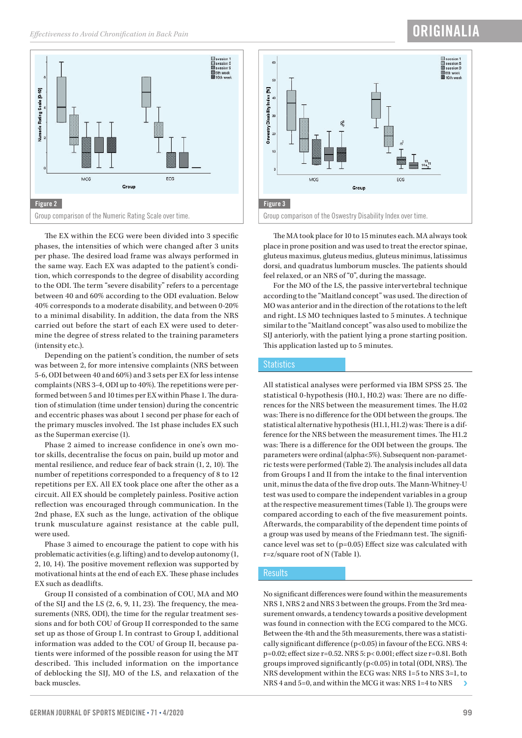# ORIGINALIA



The EX within the ECG were been divided into 3 specific phases, the intensities of which were changed after 3 units per phase. The desired load frame was always performed in the same way. Each EX was adapted to the patient's condition, which corresponds to the degree of disability according to the ODI. The term "severe disability" refers to a percentage between 40 and 60% according to the ODI evaluation. Below 40% corresponds to a moderate disability, and between 0-20% to a minimal disability. In addition, the data from the NRS carried out before the start of each EX were used to determine the degree of stress related to the training parameters (intensity etc.).

Depending on the patient's condition, the number of sets was between 2, for more intensive complaints (NRS between 5-6, ODI between 40 and 60%) and 3 sets per EX for less intense complaints (NRS 3-4, ODI up to 40%). The repetitions were performed between 5 and 10 times per EX within Phase 1. The duration of stimulation (time under tension) during the concentric and eccentric phases was about 1 second per phase for each of the primary muscles involved. The 1st phase includes EX such as the Superman exercise (1).

Phase 2 aimed to increase confidence in one's own motor skills, decentralise the focus on pain, build up motor and mental resilience, and reduce fear of back strain  $(1, 2, 10)$ . The number of repetitions corresponded to a frequency of 8 to 12 repetitions per EX. All EX took place one after the other as a circuit. All EX should be completely painless. Positive action reflection was encouraged through communication. In the 2nd phase, EX such as the lunge, activation of the oblique trunk musculature against resistance at the cable pull, were used.

Phase 3 aimed to encourage the patient to cope with his problematic activities (e.g. lifting) and to develop autonomy (1, 2, 10, 14). The positive movement reflexion was supported by motivational hints at the end of each EX. These phase includes EX such as deadlifts.

Group II consisted of a combination of COU, MA and MO of the SIJ and the LS  $(2, 6, 9, 11, 23)$ . The frequency, the measurements (NRS, ODI), the time for the regular treatment sessions and for both COU of Group II corresponded to the same set up as those of Group I. In contrast to Group I, additional information was added to the COU of Group II, because patients were informed of the possible reason for using the MT described. This included information on the importance of deblocking the SIJ, MO of the LS, and relaxation of the back muscles.



The MA took place for 10 to 15 minutes each. MA always took place in prone position and was used to treat the erector spinae, gluteus maximus, gluteus medius, gluteus minimus, latissimus dorsi, and quadratus lumborum muscles. The patients should feel relaxed, or an NRS of "0", during the massage.

For the MO of the LS, the passive intervertebral technique according to the "Maitland concept" was used. The direction of MO was anterior and in the direction of the rotations to the left and right. LS MO techniques lasted to 5 minutes. A technique similar to the "Maitland concept" was also used to mobilize the SIJ anteriorly, with the patient lying a prone starting position. This application lasted up to 5 minutes.

### **Statistics**

All statistical analyses were performed via IBM SPSS 25. The statistical 0-hypothesis (H0.1, H0.2) was: There are no differences for the NRS between the measurement times. The H.02 was: There is no difference for the ODI between the groups. The statistical alternative hypothesis (H1.1, H1.2) was: There is a difference for the NRS between the measurement times. The H1.2 was: There is a difference for the ODI between the groups. The parameters were ordinal (alpha<5%). Subsequent non-parametric tests were performed (Table 2). The analysis includes all data from Groups I and II from the intake to the final intervention unit, minus the data of the five drop outs. The Mann-Whitney-U test was used to compare the independent variables in a group at the respective measurement times (Table 1). The groups were compared according to each of the five measurement points. Afterwards, the comparability of the dependent time points of a group was used by means of the Friedmann test. The significance level was set to  $(p=0.05)$  Effect size was calculated with r=z/square root of N (Table 1).

#### **Results**

No significant differences were found within the measurements NRS 1, NRS 2 and NRS 3 between the groups. From the 3rd measurement onwards, a tendency towards a positive development was found in connection with the ECG compared to the MCG. Between the 4th and the 5th measurements, there was a statistically significant difference ( $p<0.05$ ) in favour of the ECG. NRS 4: p=0.02; effect size r=0.52. NRS 5: p< 0.001; effect size r=0.81. Both groups improved significantly ( $p<0.05$ ) in total (ODI, NRS). The NRS development within the ECG was: NRS 1=5 to NRS 3=1, to NRS 4 and 5=0, and within the MCG it was: NRS 1=4 to NRS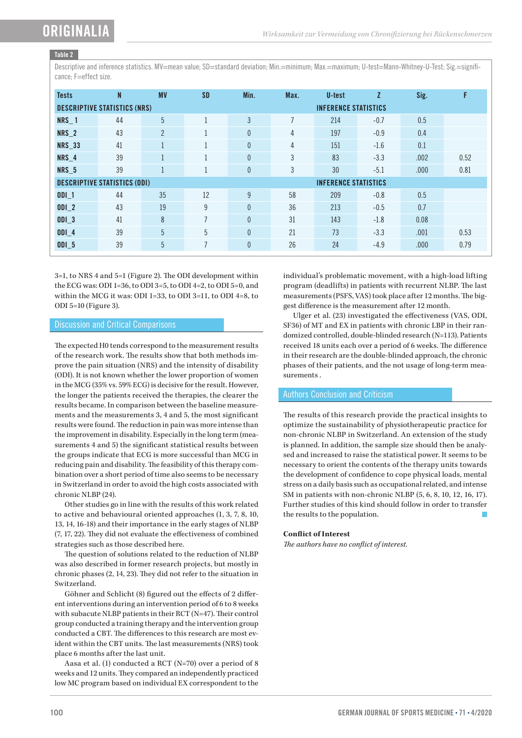# Table 2

Descriptive and inference statistics. MV=mean value; SD=standard deviation; Min.=minimum; Max.=maximum; U-test=Mann-Whitney-U-Test; Sig.=significance: F=effect size.

| <b>Tests</b>                                                       | N  | <b>MV</b>      | <b>SD</b>      | Min.         | Max.           | U-test | Z      | Sig. | F    |  |  |
|--------------------------------------------------------------------|----|----------------|----------------|--------------|----------------|--------|--------|------|------|--|--|
| <b>INFERENCE STATISTICS</b><br><b>DESCRIPTIVE STATISTICS (NRS)</b> |    |                |                |              |                |        |        |      |      |  |  |
| <b>NRS_1</b>                                                       | 44 | 5              | $\mathbf{I}$   | 3            | $\overline{7}$ | 214    | $-0.7$ | 0.5  |      |  |  |
| NRS_2                                                              | 43 | $\overline{2}$ | $\mathbf{1}$   | $\theta$     | 4              | 197    | $-0.9$ | 0.4  |      |  |  |
| <b>NRS_33</b>                                                      | 41 |                | 1              | $\theta$     | 4              | 151    | $-1.6$ | 0.1  |      |  |  |
| NRS_4                                                              | 39 |                |                | $\theta$     | 3              | 83     | $-3.3$ | .002 | 0.52 |  |  |
| <b>NRS_5</b>                                                       | 39 |                | $\mathbf{1}$   | $\theta$     | 3              | 30     | $-5.1$ | .000 | 0.81 |  |  |
| <b>DESCRIPTIVE STATISTICS (ODI)</b><br><b>INFERENCE STATISTICS</b> |    |                |                |              |                |        |        |      |      |  |  |
| $ODI_1$                                                            | 44 | 35             | 12             | 9            | 58             | 209    | $-0.8$ | 0.5  |      |  |  |
| $ODI_2$                                                            | 43 | 19             | 9              | $\mathbf{0}$ | 36             | 213    | $-0.5$ | 0.7  |      |  |  |
| $ODI_3$                                                            | 41 | 8              | $\overline{7}$ | $\mathbf{0}$ | 31             | 143    | $-1.8$ | 0.08 |      |  |  |
| $ODI_4$                                                            | 39 | 5              | 5              | $\theta$     | 21             | 73     | $-3.3$ | .001 | 0.53 |  |  |
| <b>ODI 5</b>                                                       | 39 | 5              | $\overline{7}$ | $\theta$     | 26             | 24     | $-4.9$ | .000 | 0.79 |  |  |

3=1, to NRS 4 and 5=1 (Figure 2). The ODI development within the ECG was: ODI 1=36, to ODI 3=5, to ODI 4=2, to ODI 5=0, and within the MCG it was: ODI 1=33, to ODI 3=11, to ODI 4=8, to ODI 5=10 (Figure 3).

### Discussion and Critical Comparisons

The expected H0 tends correspond to the measurement results of the research work. The results show that both methods improve the pain situation (NRS) and the intensity of disability (ODI). It is not known whether the lower proportion of women in the MCG (35% vs. 59% ECG) is decisive for the result. However, the longer the patients received the therapies, the clearer the results became. In comparison between the baseline measurements and the measurements 3, 4 and 5, the most significant results were found. The reduction in pain was more intense than the improvement in disability. Especially in the long term (measurements 4 and 5) the significant statistical results between the groups indicate that ECG is more successful than MCG in reducing pain and disability. The feasibility of this therapy combination over a short period of time also seems to be necessary in Switzerland in order to avoid the high costs associated with chronic NLBP (24).

Other studies go in line with the results of this work related to active and behavioural oriented approaches (1, 3, 7, 8, 10, 13, 14, 16-18) and their importance in the early stages of NLBP (7, 17, 22). They did not evaluate the effectiveness of combined strategies such as those described here.

The question of solutions related to the reduction of NLBP was also described in former research projects, but mostly in chronic phases (2, 14, 23). They did not refer to the situation in Switzerland.

Göhner and Schlicht (8) figured out the effects of 2 different interventions during an intervention period of 6 to 8 weeks with subacute NLBP patients in their RCT (N=47). Their control group conducted a training therapy and the intervention group conducted a CBT. The differences to this research are most evident within the CBT units. The last measurements (NRS) took place 6 months after the last unit.

Aasa et al. (1) conducted a RCT (N=70) over a period of 8 weeks and 12 units. They compared an independently practiced low MC program based on individual EX correspondent to the individual's problematic movement, with a high-load lifting program (deadlifts) in patients with recurrent NLBP. The last measurements (PSFS, VAS) took place after 12 months. The biggest difference is the measurement after 12 month.

Ulger et al. (23) investigated the effectiveness (VAS, ODI, SF36) of MT and EX in patients with chronic LBP in their randomized controlled, double-blinded research (N=113). Patients received 18 units each over a period of 6 weeks. The difference in their research are the double-blinded approach, the chronic phases of their patients, and the not usage of long-term measurements .

# Authors Conclusion and Criticism

The results of this research provide the practical insights to optimize the sustainability of physiotherapeutic practice for non-chronic NLBP in Switzerland. An extension of the study is planned. In addition, the sample size should then be analysed and increased to raise the statistical power. It seems to be necessary to orient the contents of the therapy units towards the development of confidence to cope physical loads, mental stress on a daily basis such as occupational related, and intense SM in patients with non-chronic NLBP (5, 6, 8, 10, 12, 16, 17). Further studies of this kind should follow in order to transfer the results to the population.

### **Conflict of Interest**

*The authors have no conflict of interest.*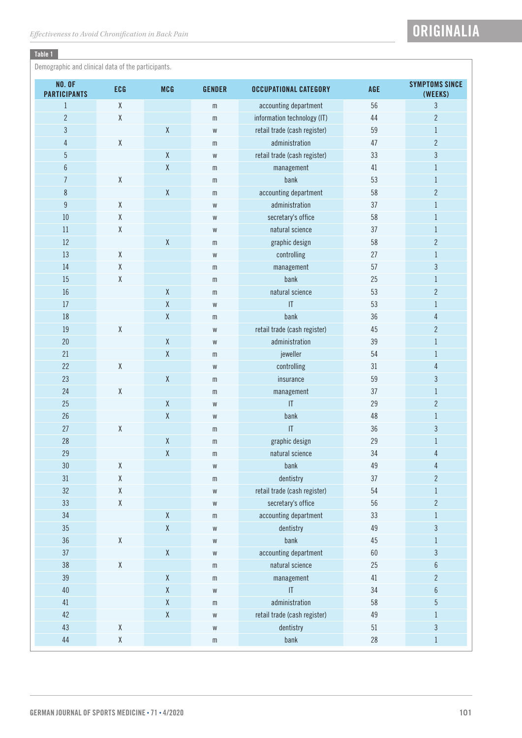# Table 1

Demographic and clinical data of the participants.

| <b>NO. OF</b><br><b>PARTICIPANTS</b> | <b>ECG</b>                                          | <b>MCG</b>  | <b>GENDER</b> | <b>OCCUPATIONAL CATEGORY</b>      | AGE    | <b>SYMPTOMS SINCE</b><br>(WEEKS) |
|--------------------------------------|-----------------------------------------------------|-------------|---------------|-----------------------------------|--------|----------------------------------|
| $\mathbf{1}$                         | $\mathsf X$                                         |             | m             | accounting department             | 56     | $\overline{3}$                   |
| $\overline{c}$                       | χ                                                   |             | m             | information technology (IT)       | 44     | $\overline{2}$                   |
| $\mathfrak{Z}$                       |                                                     | χ           | W             | retail trade (cash register)      | 59     | $\mathbf{1}$                     |
| $\overline{4}$                       | $\mathsf X$                                         |             | m             | administration                    | 47     | $\overline{2}$                   |
| $\overline{5}$                       |                                                     | $\mathsf X$ | W             | retail trade (cash register)      | 33     | $\overline{3}$                   |
| $6\,$                                |                                                     | χ           | m             | management                        | 41     | $\mathbf{1}$                     |
| $\overline{7}$                       | $\mathsf X$                                         |             | m             | bank                              | 53     | $\mathbf{1}$                     |
| $\,8\,$                              |                                                     | χ           | m             | accounting department             | 58     | $\overline{2}$                   |
| $\boldsymbol{9}$                     | χ                                                   |             | W             | administration                    | 37     | $\mathbf{1}$                     |
| 10                                   | $\mathsf X$                                         |             | W             | secretary's office                | 58     | $\mathbf{1}$                     |
| 11                                   | χ                                                   |             | W             | natural science                   | 37     | $\mathbf{1}$                     |
| 12                                   |                                                     | $\mathsf X$ | m             | graphic design                    | 58     | $\overline{2}$                   |
| 13                                   | $\mathsf X$                                         |             | W             | controlling                       | 27     | $\,1$                            |
| 14                                   | $\mathsf{X}% _{0}^{\prime}=\mathsf{X}_{0}^{\prime}$ |             | m             | management                        | 57     | 3                                |
| 15                                   | χ                                                   |             | m             | bank                              | 25     | $\mathbf{1}$                     |
| 16                                   |                                                     | $\mathsf X$ | m             | natural science                   | 53     | $\overline{2}$                   |
| 17                                   |                                                     | Χ           | W             | $\ensuremath{\mathsf{IT}}\xspace$ | 53     | $\mathbf{1}$                     |
| 18                                   |                                                     | χ           | m             | bank                              | 36     | 4                                |
| 19                                   | $\mathsf X$                                         |             | W             | retail trade (cash register)      | 45     | $\overline{2}$                   |
| 20                                   |                                                     | χ           | W             | administration                    | 39     | $\mathbf{1}$                     |
| 21                                   |                                                     | $\sf X$     | m             | jeweller                          | 54     | $\mathbf{1}$                     |
| 22                                   | χ                                                   |             | W             | controlling                       | 31     | 4                                |
| 23                                   |                                                     | χ           | $\mathsf m$   | insurance                         | 59     | $\overline{3}$                   |
| 24                                   | $\mathsf X$                                         |             | m             | management                        | 37     | $\mathbf{1}$                     |
| 25                                   |                                                     | χ           | W             | $\ensuremath{\mathsf{IT}}\xspace$ | 29     | $\overline{2}$                   |
| 26                                   |                                                     | χ           | W             | bank                              | 48     | $\mathbf{1}$                     |
| 27                                   | $\mathsf X$                                         |             | m             | $\ensuremath{\mathsf{IT}}\xspace$ | 36     | $\mathfrak{Z}$                   |
| 28                                   |                                                     | Χ           | m             | graphic design                    | 29     | $\mathbf{1}$                     |
| 29                                   |                                                     | X           | m             | natural science                   | 34     | 4                                |
| 30                                   | χ                                                   |             | W             | bank                              | 49     | 4                                |
| 31                                   | $\mathsf X$                                         |             | ${\mathsf m}$ | dentistry                         | 37     | $\overline{2}$                   |
| 32                                   | $\mathsf X$                                         |             | W             | retail trade (cash register)      | 54     | $\mathbf{1}$                     |
| 33                                   | $\mathsf X$                                         |             | W             | secretary's office                | 56     | $\overline{c}$                   |
| 34                                   |                                                     | χ           | $\mathsf m$   | accounting department             | 33     | $\mathbf{1}$                     |
| 35                                   |                                                     | X           | W             | dentistry                         | 49     | $\mathfrak{Z}$                   |
| 36                                   | $\mathsf X$                                         |             | W             | bank                              | 45     | $\mathbf{1}$                     |
| 37                                   |                                                     | χ           | W             | accounting department             | 60     | $\mathfrak{Z}$                   |
| 38                                   | $\mathsf X$                                         |             | m             | natural science                   | 25     | 6                                |
| 39                                   |                                                     | χ           | m             | management                        | $41\,$ | $\overline{2}$                   |
| 40                                   |                                                     | χ           | W             | $\overline{1}$                    | 34     | 6                                |
| 41                                   |                                                     | χ           | m             | administration                    | 58     | $\overline{5}$                   |
| 42                                   |                                                     | χ           | W             | retail trade (cash register)      | 49     | $\mathbf{1}$                     |
| 43                                   | $\mathsf X$                                         |             | W             | dentistry                         | $51\,$ | $\mathfrak{Z}$                   |
| $44\,$                               | $\mathsf X$                                         |             | m             | bank                              | 28     | $\mathbf{1}$                     |